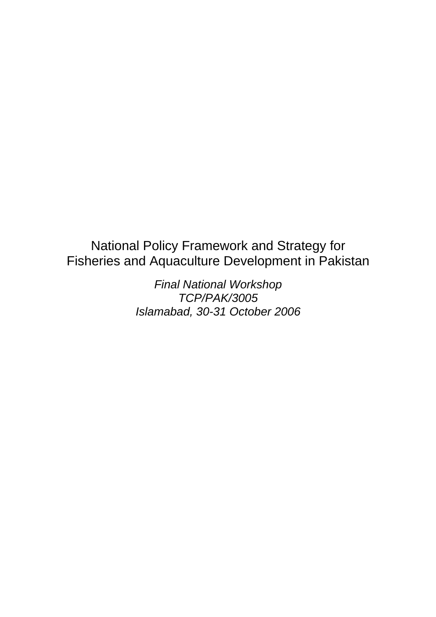# National Policy Framework and Strategy for Fisheries and Aquaculture Development in Pakistan

*Final National Workshop TCP/PAK/3005 Islamabad, 30-31 October 2006*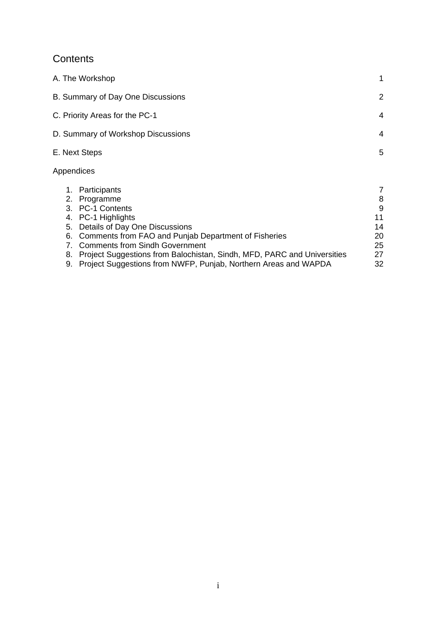## **Contents**

| A. The Workshop                                                                              | 1                 |
|----------------------------------------------------------------------------------------------|-------------------|
| B. Summary of Day One Discussions                                                            | $\overline{2}$    |
| C. Priority Areas for the PC-1                                                               | 4                 |
| D. Summary of Workshop Discussions                                                           | 4                 |
| E. Next Steps                                                                                | 5                 |
| Appendices                                                                                   |                   |
| Participants<br>1.<br>2. Programme<br>3. PC-1 Contents                                       | 7<br>8<br>9<br>11 |
| 4. PC-1 Highlights<br>Details of Day One Discussions<br>5.                                   | 14                |
| 6. Comments from FAO and Punjab Department of Fisheries<br>7. Comments from Sindh Government | 20<br>25<br>27    |
| Project Suggestions from Balochistan, Sindh, MFD, PARC and Universities<br>8.                |                   |

9. Project Suggestions from NWFP, Punjab, Northern Areas and WAPDA 32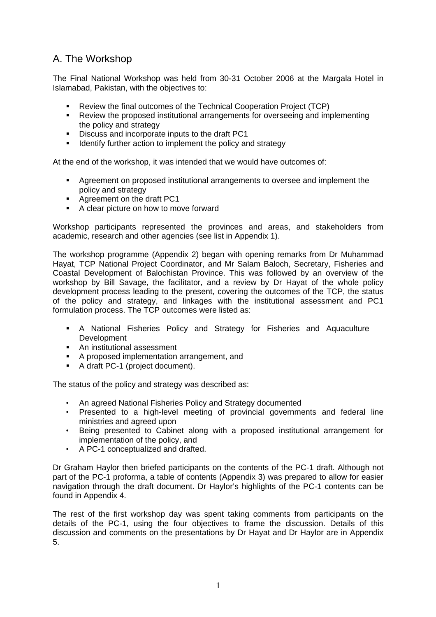## A. The Workshop

The Final National Workshop was held from 30-31 October 2006 at the Margala Hotel in Islamabad, Pakistan, with the objectives to:

- Review the final outcomes of the Technical Cooperation Project (TCP)
- Review the proposed institutional arrangements for overseeing and implementing the policy and strategy
- Discuss and incorporate inputs to the draft PC1
- **IDENTIFY** Identify further action to implement the policy and strategy

At the end of the workshop, it was intended that we would have outcomes of:

- Agreement on proposed institutional arrangements to oversee and implement the policy and strategy
- Agreement on the draft PC1
- A clear picture on how to move forward

Workshop participants represented the provinces and areas, and stakeholders from academic, research and other agencies (see list in Appendix 1).

The workshop programme (Appendix 2) began with opening remarks from Dr Muhammad Hayat, TCP National Project Coordinator, and Mr Salam Baloch, Secretary, Fisheries and Coastal Development of Balochistan Province. This was followed by an overview of the workshop by Bill Savage, the facilitator, and a review by Dr Hayat of the whole policy development process leading to the present, covering the outcomes of the TCP, the status of the policy and strategy, and linkages with the institutional assessment and PC1 formulation process. The TCP outcomes were listed as:

- A National Fisheries Policy and Strategy for Fisheries and Aquaculture Development
- An institutional assessment
- A proposed implementation arrangement, and
- A draft PC-1 (project document).

The status of the policy and strategy was described as:

- An agreed National Fisheries Policy and Strategy documented
- Presented to a high-level meeting of provincial governments and federal line ministries and agreed upon
- Being presented to Cabinet along with a proposed institutional arrangement for implementation of the policy, and
- A PC-1 conceptualized and drafted.

Dr Graham Haylor then briefed participants on the contents of the PC-1 draft. Although not part of the PC-1 proforma, a table of contents (Appendix 3) was prepared to allow for easier navigation through the draft document. Dr Haylor's highlights of the PC-1 contents can be found in Appendix 4.

The rest of the first workshop day was spent taking comments from participants on the details of the PC-1, using the four objectives to frame the discussion. Details of this discussion and comments on the presentations by Dr Hayat and Dr Haylor are in Appendix 5.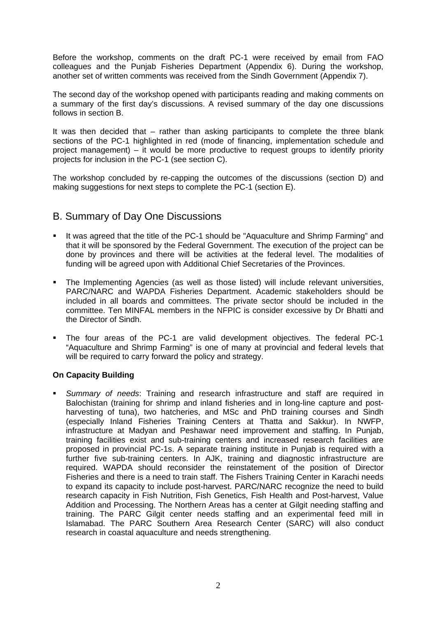Before the workshop, comments on the draft PC-1 were received by email from FAO colleagues and the Punjab Fisheries Department (Appendix 6). During the workshop, another set of written comments was received from the Sindh Government (Appendix 7).

The second day of the workshop opened with participants reading and making comments on a summary of the first day's discussions. A revised summary of the day one discussions follows in section B.

It was then decided that – rather than asking participants to complete the three blank sections of the PC-1 highlighted in red (mode of financing, implementation schedule and project management) – it would be more productive to request groups to identify priority projects for inclusion in the PC-1 (see section C).

The workshop concluded by re-capping the outcomes of the discussions (section D) and making suggestions for next steps to complete the PC-1 (section E).

## B. Summary of Day One Discussions

- It was agreed that the title of the PC-1 should be "Aquaculture and Shrimp Farming" and that it will be sponsored by the Federal Government. The execution of the project can be done by provinces and there will be activities at the federal level. The modalities of funding will be agreed upon with Additional Chief Secretaries of the Provinces.
- The Implementing Agencies (as well as those listed) will include relevant universities, PARC/NARC and WAPDA Fisheries Department. Academic stakeholders should be included in all boards and committees. The private sector should be included in the committee. Ten MINFAL members in the NFPIC is consider excessive by Dr Bhatti and the Director of Sindh.
- The four areas of the PC-1 are valid development objectives. The federal PC-1 "Aquaculture and Shrimp Farming" is one of many at provincial and federal levels that will be required to carry forward the policy and strategy.

## **On Capacity Building**

 *Summary of needs*: Training and research infrastructure and staff are required in Balochistan (training for shrimp and inland fisheries and in long-line capture and postharvesting of tuna), two hatcheries, and MSc and PhD training courses and Sindh (especially Inland Fisheries Training Centers at Thatta and Sakkur). In NWFP, infrastructure at Madyan and Peshawar need improvement and staffing. In Punjab, training facilities exist and sub-training centers and increased research facilities are proposed in provincial PC-1s. A separate training institute in Punjab is required with a further five sub-training centers. In AJK, training and diagnostic infrastructure are required. WAPDA should reconsider the reinstatement of the position of Director Fisheries and there is a need to train staff. The Fishers Training Center in Karachi needs to expand its capacity to include post-harvest. PARC/NARC recognize the need to build research capacity in Fish Nutrition, Fish Genetics, Fish Health and Post-harvest, Value Addition and Processing. The Northern Areas has a center at Gilgit needing staffing and training. The PARC Gilgit center needs staffing and an experimental feed mill in Islamabad. The PARC Southern Area Research Center (SARC) will also conduct research in coastal aquaculture and needs strengthening.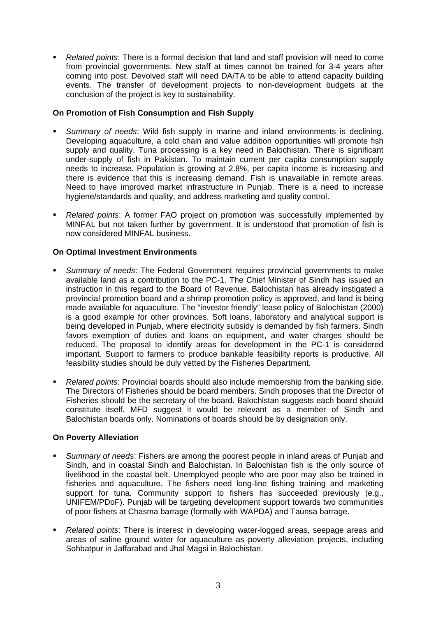*Related points*: There is a formal decision that land and staff provision will need to come from provincial governments. New staff at times cannot be trained for 3-4 years after coming into post. Devolved staff will need DA/TA to be able to attend capacity building events. The transfer of development projects to non-development budgets at the conclusion of the project is key to sustainability.

## **On Promotion of Fish Consumption and Fish Supply**

- *Summary of needs*: Wild fish supply in marine and inland environments is declining. Developing aquaculture, a cold chain and value addition opportunities will promote fish supply and quality. Tuna processing is a key need in Balochistan. There is significant under-supply of fish in Pakistan. To maintain current per capita consumption supply needs to increase. Population is growing at 2.8%, per capita income is increasing and there is evidence that this is increasing demand. Fish is unavailable in remote areas. Need to have improved market infrastructure in Punjab. There is a need to increase hygiene/standards and quality, and address marketing and quality control.
- *Related points*: A former FAO project on promotion was successfully implemented by MINFAL but not taken further by government. It is understood that promotion of fish is now considered MINFAL business.

## **On Optimal Investment Environments**

- *Summary of needs*: The Federal Government requires provincial governments to make available land as a contribution to the PC-1. The Chief Minister of Sindh has issued an instruction in this regard to the Board of Revenue. Balochistan has already instigated a provincial promotion board and a shrimp promotion policy is approved, and land is being made available for aquaculture. The "investor friendly" lease policy of Balochistan (2000) is a good example for other provinces. Soft loans, laboratory and analytical support is being developed in Punjab, where electricity subsidy is demanded by fish farmers. Sindh favors exemption of duties and loans on equipment, and water charges should be reduced. The proposal to identify areas for development in the PC-1 is considered important. Support to farmers to produce bankable feasibility reports is productive. All feasibility studies should be duly vetted by the Fisheries Department.
- *Related points*: Provincial boards should also include membership from the banking side. The Directors of Fisheries should be board members. Sindh proposes that the Director of Fisheries should be the secretary of the board. Balochistan suggests each board should constitute itself. MFD suggest it would be relevant as a member of Sindh and Balochistan boards only. Nominations of boards should be by designation only.

## **On Poverty Alleviation**

- *Summary of needs*: Fishers are among the poorest people in inland areas of Punjab and Sindh, and in coastal Sindh and Balochistan. In Balochistan fish is the only source of livelihood in the coastal belt. Unemployed people who are poor may also be trained in fisheries and aquaculture. The fishers need long-line fishing training and marketing support for tuna. Community support to fishers has succeeded previously (e.g., UNIFEM/PDoF). Punjab will be targeting development support towards two communities of poor fishers at Chasma barrage (formally with WAPDA) and Taunsa barrage.
- *Related points*: There is interest in developing water-logged areas, seepage areas and areas of saline ground water for aquaculture as poverty alleviation projects, including Sohbatpur in Jaffarabad and Jhal Magsi in Balochistan.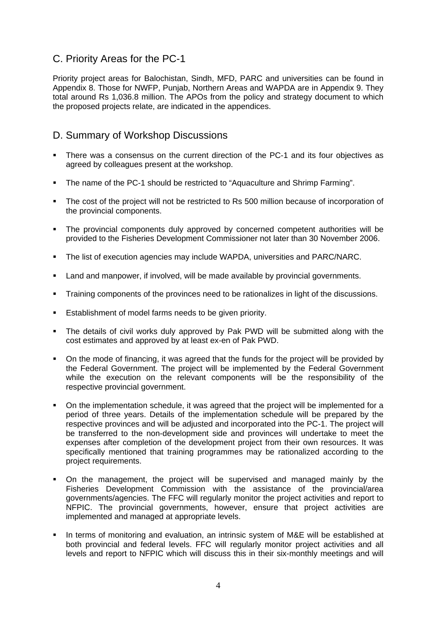## C. Priority Areas for the PC-1

Priority project areas for Balochistan, Sindh, MFD, PARC and universities can be found in Appendix 8. Those for NWFP, Punjab, Northern Areas and WAPDA are in Appendix 9. They total around Rs 1,036.8 million. The APOs from the policy and strategy document to which the proposed projects relate, are indicated in the appendices.

## D. Summary of Workshop Discussions

- There was a consensus on the current direction of the PC-1 and its four objectives as agreed by colleagues present at the workshop.
- The name of the PC-1 should be restricted to "Aquaculture and Shrimp Farming".
- The cost of the project will not be restricted to Rs 500 million because of incorporation of the provincial components.
- The provincial components duly approved by concerned competent authorities will be provided to the Fisheries Development Commissioner not later than 30 November 2006.
- The list of execution agencies may include WAPDA, universities and PARC/NARC.
- Land and manpower, if involved, will be made available by provincial governments.
- Training components of the provinces need to be rationalizes in light of the discussions.
- **Establishment of model farms needs to be given priority.**
- The details of civil works duly approved by Pak PWD will be submitted along with the cost estimates and approved by at least ex-en of Pak PWD.
- On the mode of financing, it was agreed that the funds for the project will be provided by the Federal Government. The project will be implemented by the Federal Government while the execution on the relevant components will be the responsibility of the respective provincial government.
- On the implementation schedule, it was agreed that the project will be implemented for a period of three years. Details of the implementation schedule will be prepared by the respective provinces and will be adjusted and incorporated into the PC-1. The project will be transferred to the non-development side and provinces will undertake to meet the expenses after completion of the development project from their own resources. It was specifically mentioned that training programmes may be rationalized according to the project requirements.
- On the management, the project will be supervised and managed mainly by the Fisheries Development Commission with the assistance of the provincial/area governments/agencies. The FFC will regularly monitor the project activities and report to NFPIC. The provincial governments, however, ensure that project activities are implemented and managed at appropriate levels.
- In terms of monitoring and evaluation, an intrinsic system of M&E will be established at both provincial and federal levels. FFC will regularly monitor project activities and all levels and report to NFPIC which will discuss this in their six-monthly meetings and will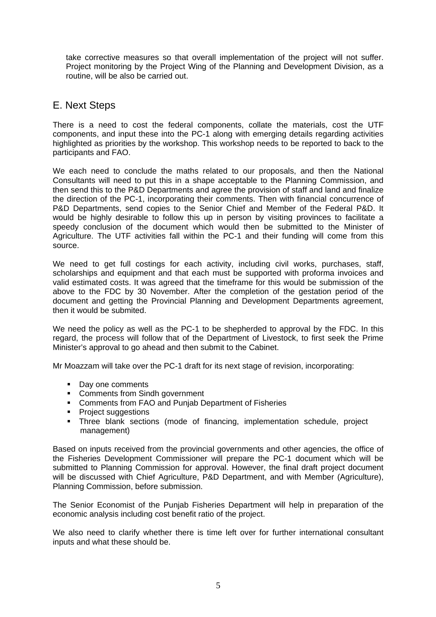take corrective measures so that overall implementation of the project will not suffer. Project monitoring by the Project Wing of the Planning and Development Division, as a routine, will be also be carried out.

## E. Next Steps

There is a need to cost the federal components, collate the materials, cost the UTF components, and input these into the PC-1 along with emerging details regarding activities highlighted as priorities by the workshop. This workshop needs to be reported to back to the participants and FAO.

We each need to conclude the maths related to our proposals, and then the National Consultants will need to put this in a shape acceptable to the Planning Commission, and then send this to the P&D Departments and agree the provision of staff and land and finalize the direction of the PC-1, incorporating their comments. Then with financial concurrence of P&D Departments, send copies to the Senior Chief and Member of the Federal P&D. It would be highly desirable to follow this up in person by visiting provinces to facilitate a speedy conclusion of the document which would then be submitted to the Minister of Agriculture. The UTF activities fall within the PC-1 and their funding will come from this source.

We need to get full costings for each activity, including civil works, purchases, staff, scholarships and equipment and that each must be supported with proforma invoices and valid estimated costs. It was agreed that the timeframe for this would be submission of the above to the FDC by 30 November. After the completion of the gestation period of the document and getting the Provincial Planning and Development Departments agreement, then it would be submited.

We need the policy as well as the PC-1 to be shepherded to approval by the FDC. In this regard, the process will follow that of the Department of Livestock, to first seek the Prime Minister's approval to go ahead and then submit to the Cabinet.

Mr Moazzam will take over the PC-1 draft for its next stage of revision, incorporating:

- Day one comments
- Comments from Sindh government
- Comments from FAO and Punjab Department of Fisheries
- **Project suggestions**
- Three blank sections (mode of financing, implementation schedule, project management)

Based on inputs received from the provincial governments and other agencies, the office of the Fisheries Development Commissioner will prepare the PC-1 document which will be submitted to Planning Commission for approval. However, the final draft project document will be discussed with Chief Agriculture, P&D Department, and with Member (Agriculture), Planning Commission, before submission.

The Senior Economist of the Punjab Fisheries Department will help in preparation of the economic analysis including cost benefit ratio of the project.

We also need to clarify whether there is time left over for further international consultant inputs and what these should be.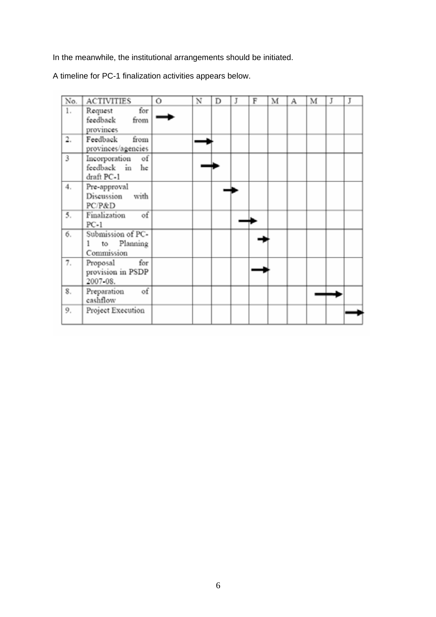In the meanwhile, the institutional arrangements should be initiated.

A timeline for PC-1 finalization activities appears below.

| No. | <b>ACTIVITIES</b>  | Ō | N | D | J | F | M | А | м | J | J |
|-----|--------------------|---|---|---|---|---|---|---|---|---|---|
| 1.  | for<br>Request     |   |   |   |   |   |   |   |   |   |   |
|     | feedback<br>from   |   |   |   |   |   |   |   |   |   |   |
|     | provinces          |   |   |   |   |   |   |   |   |   |   |
| 2.  | Feedback<br>from   |   |   |   |   |   |   |   |   |   |   |
|     | provinces/agencies |   |   |   |   |   |   |   |   |   |   |
| 3   | Incorporation of   |   |   |   |   |   |   |   |   |   |   |
|     | feedback in<br>he  |   |   |   |   |   |   |   |   |   |   |
|     | draft PC-1         |   |   |   |   |   |   |   |   |   |   |
| 4.  | Pre-approval       |   |   |   |   |   |   |   |   |   |   |
|     | Discussion<br>with |   |   |   |   |   |   |   |   |   |   |
|     | PC/P&D             |   |   |   |   |   |   |   |   |   |   |
| 5.  | of<br>Finalization |   |   |   |   |   |   |   |   |   |   |
|     | $PC-1$             |   |   |   |   |   |   |   |   |   |   |
| б.  | Submission of PC-  |   |   |   |   |   |   |   |   |   |   |
|     | to Planning<br>1   |   |   |   |   |   |   |   |   |   |   |
|     | Commission         |   |   |   |   |   |   |   |   |   |   |
| 7.  | for<br>Proposal    |   |   |   |   |   |   |   |   |   |   |
|     | provision in PSDP  |   |   |   |   |   |   |   |   |   |   |
|     | 2007-08.           |   |   |   |   |   |   |   |   |   |   |
| 8.  | of<br>Preparation  |   |   |   |   |   |   |   |   |   |   |
|     | cashflow           |   |   |   |   |   |   |   |   |   |   |
| 9.  | Project Execution  |   |   |   |   |   |   |   |   |   |   |
|     |                    |   |   |   |   |   |   |   |   |   |   |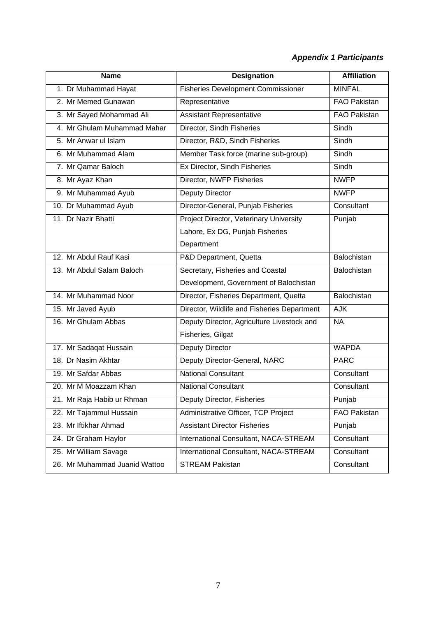## *Appendix 1 Participants*

| <b>Name</b>                   | <b>Designation</b>                          | <b>Affiliation</b>  |
|-------------------------------|---------------------------------------------|---------------------|
| 1. Dr Muhammad Hayat          | <b>Fisheries Development Commissioner</b>   | <b>MINFAL</b>       |
| 2. Mr Memed Gunawan           | Representative                              | <b>FAO Pakistan</b> |
| 3. Mr Sayed Mohammad Ali      | <b>Assistant Representative</b>             | <b>FAO Pakistan</b> |
| 4. Mr Ghulam Muhammad Mahar   | Director, Sindh Fisheries                   | Sindh               |
| 5. Mr Anwar ul Islam          | Director, R&D, Sindh Fisheries              | Sindh               |
| 6. Mr Muhammad Alam           | Member Task force (marine sub-group)        | Sindh               |
| 7. Mr Qamar Baloch            | Ex Director, Sindh Fisheries                | <b>Sindh</b>        |
| 8. Mr Ayaz Khan               | Director, NWFP Fisheries                    | <b>NWFP</b>         |
| 9. Mr Muhammad Ayub           | Deputy Director                             | <b>NWFP</b>         |
| 10. Dr Muhammad Ayub          | Director-General, Punjab Fisheries          | Consultant          |
| 11. Dr Nazir Bhatti           | Project Director, Veterinary University     | Punjab              |
|                               | Lahore, Ex DG, Punjab Fisheries             |                     |
|                               | Department                                  |                     |
| 12. Mr Abdul Rauf Kasi        | P&D Department, Quetta                      | Balochistan         |
| 13. Mr Abdul Salam Baloch     | Secretary, Fisheries and Coastal            | Balochistan         |
|                               | Development, Government of Balochistan      |                     |
| 14. Mr Muhammad Noor          | Director, Fisheries Department, Quetta      | Balochistan         |
| 15. Mr Javed Ayub             | Director, Wildlife and Fisheries Department | <b>AJK</b>          |
| 16. Mr Ghulam Abbas           | Deputy Director, Agriculture Livestock and  | N <sub>A</sub>      |
|                               | Fisheries, Gilgat                           |                     |
| 17. Mr Sadaqat Hussain        | Deputy Director                             | <b>WAPDA</b>        |
| 18. Dr Nasim Akhtar           | Deputy Director-General, NARC               | <b>PARC</b>         |
| 19. Mr Safdar Abbas           | <b>National Consultant</b>                  | Consultant          |
| 20. Mr M Moazzam Khan         | <b>National Consultant</b>                  | Consultant          |
| 21. Mr Raja Habib ur Rhman    | Deputy Director, Fisheries                  | Punjab              |
| 22. Mr Tajammul Hussain       | Administrative Officer, TCP Project         | <b>FAO Pakistan</b> |
| 23. Mr Iftikhar Ahmad         | <b>Assistant Director Fisheries</b>         | Punjab              |
| 24. Dr Graham Haylor          | International Consultant, NACA-STREAM       | Consultant          |
| 25. Mr William Savage         | International Consultant, NACA-STREAM       | Consultant          |
| 26. Mr Muhammad Juanid Wattoo | <b>STREAM Pakistan</b>                      | Consultant          |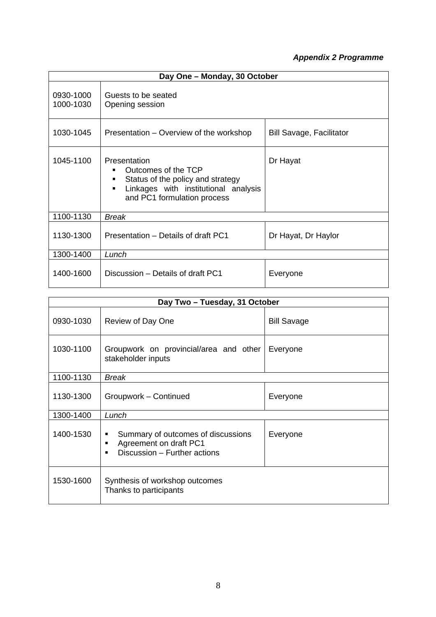## *Appendix 2 Programme*

| Day One - Monday, 30 October |                                                                                                                                                                             |                                 |  |  |  |  |  |
|------------------------------|-----------------------------------------------------------------------------------------------------------------------------------------------------------------------------|---------------------------------|--|--|--|--|--|
| 0930-1000<br>1000-1030       | Guests to be seated<br>Opening session                                                                                                                                      |                                 |  |  |  |  |  |
| 1030-1045                    | Presentation – Overview of the workshop                                                                                                                                     | <b>Bill Savage, Facilitator</b> |  |  |  |  |  |
| 1045-1100                    | Presentation<br>Outcomes of the TCP<br>٠<br>Status of the policy and strategy<br>٠<br>Linkages with institutional analysis<br>$\blacksquare$<br>and PC1 formulation process | Dr Hayat                        |  |  |  |  |  |
| 1100-1130                    | <b>Break</b>                                                                                                                                                                |                                 |  |  |  |  |  |
| 1130-1300                    | Presentation – Details of draft PC1                                                                                                                                         | Dr Hayat, Dr Haylor             |  |  |  |  |  |
| 1300-1400                    | Lunch                                                                                                                                                                       |                                 |  |  |  |  |  |
| 1400-1600                    | Discussion - Details of draft PC1                                                                                                                                           | Everyone                        |  |  |  |  |  |

| Day Two - Tuesday, 31 October |                                                                                                   |                    |  |  |  |  |  |  |
|-------------------------------|---------------------------------------------------------------------------------------------------|--------------------|--|--|--|--|--|--|
| 0930-1030                     | Review of Day One                                                                                 | <b>Bill Savage</b> |  |  |  |  |  |  |
| 1030-1100                     | Groupwork on provincial/area and other<br>stakeholder inputs                                      | Everyone           |  |  |  |  |  |  |
| 1100-1130                     | <b>Break</b>                                                                                      |                    |  |  |  |  |  |  |
| 1130-1300                     | Groupwork - Continued                                                                             | Everyone           |  |  |  |  |  |  |
| 1300-1400                     | Lunch                                                                                             |                    |  |  |  |  |  |  |
| 1400-1530                     | Summary of outcomes of discussions<br>٠<br>Agreement on draft PC1<br>Discussion - Further actions | Everyone           |  |  |  |  |  |  |
| 1530-1600                     | Synthesis of workshop outcomes<br>Thanks to participants                                          |                    |  |  |  |  |  |  |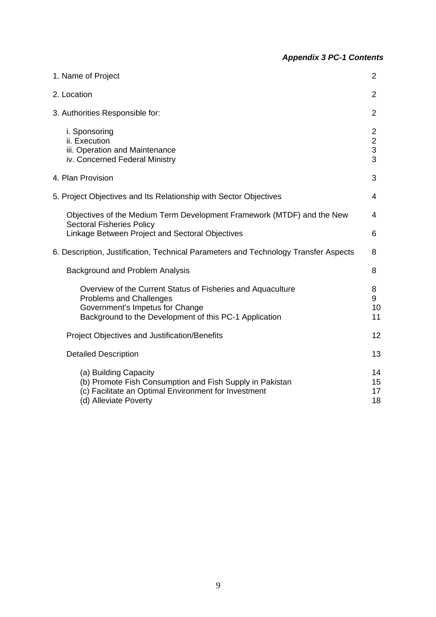## *Appendix 3 PC-1 Contents*

| 1. Name of Project                                                                                                                                                                         | $\overline{2}$                             |
|--------------------------------------------------------------------------------------------------------------------------------------------------------------------------------------------|--------------------------------------------|
| 2. Location                                                                                                                                                                                | $\overline{2}$                             |
| 3. Authorities Responsible for:                                                                                                                                                            | 2                                          |
| i. Sponsoring<br>ii. Execution<br>iii. Operation and Maintenance<br>iv. Concerned Federal Ministry                                                                                         | $\overline{2}$<br>$\overline{2}$<br>3<br>3 |
| 4. Plan Provision                                                                                                                                                                          | 3                                          |
| 5. Project Objectives and Its Relationship with Sector Objectives                                                                                                                          | 4                                          |
| Objectives of the Medium Term Development Framework (MTDF) and the New                                                                                                                     | 4                                          |
| <b>Sectoral Fisheries Policy</b><br>Linkage Between Project and Sectoral Objectives                                                                                                        | 6                                          |
| 6. Description, Justification, Technical Parameters and Technology Transfer Aspects                                                                                                        | 8                                          |
| <b>Background and Problem Analysis</b>                                                                                                                                                     | 8                                          |
| Overview of the Current Status of Fisheries and Aquaculture<br><b>Problems and Challenges</b><br>Government's Impetus for Change<br>Background to the Development of this PC-1 Application | 8<br>9<br>10<br>11                         |
| <b>Project Objectives and Justification/Benefits</b>                                                                                                                                       | 12                                         |
| <b>Detailed Description</b>                                                                                                                                                                | 13                                         |
| (a) Building Capacity<br>(b) Promote Fish Consumption and Fish Supply in Pakistan<br>(c) Facilitate an Optimal Environment for Investment<br>(d) Alleviate Poverty                         | 14<br>15<br>17<br>18                       |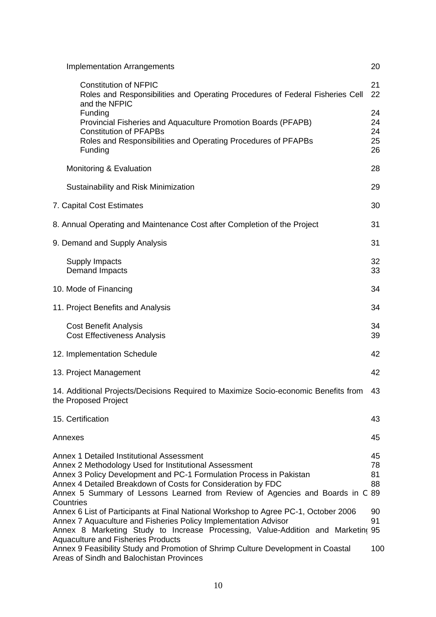| <b>Implementation Arrangements</b>                                                                                                                                                                                                                                                                                                                                                                                                                                                                                                                                                                                                                                                                                    | 20                                      |
|-----------------------------------------------------------------------------------------------------------------------------------------------------------------------------------------------------------------------------------------------------------------------------------------------------------------------------------------------------------------------------------------------------------------------------------------------------------------------------------------------------------------------------------------------------------------------------------------------------------------------------------------------------------------------------------------------------------------------|-----------------------------------------|
| <b>Constitution of NFPIC</b><br>Roles and Responsibilities and Operating Procedures of Federal Fisheries Cell<br>and the NFPIC                                                                                                                                                                                                                                                                                                                                                                                                                                                                                                                                                                                        | 21<br>22                                |
| Funding<br>Provincial Fisheries and Aquaculture Promotion Boards (PFAPB)<br><b>Constitution of PFAPBs</b><br>Roles and Responsibilities and Operating Procedures of PFAPBs<br>Funding                                                                                                                                                                                                                                                                                                                                                                                                                                                                                                                                 | 24<br>24<br>24<br>25<br>26              |
| Monitoring & Evaluation                                                                                                                                                                                                                                                                                                                                                                                                                                                                                                                                                                                                                                                                                               | 28                                      |
| Sustainability and Risk Minimization                                                                                                                                                                                                                                                                                                                                                                                                                                                                                                                                                                                                                                                                                  | 29                                      |
| 7. Capital Cost Estimates                                                                                                                                                                                                                                                                                                                                                                                                                                                                                                                                                                                                                                                                                             | 30                                      |
| 8. Annual Operating and Maintenance Cost after Completion of the Project                                                                                                                                                                                                                                                                                                                                                                                                                                                                                                                                                                                                                                              | 31                                      |
| 9. Demand and Supply Analysis                                                                                                                                                                                                                                                                                                                                                                                                                                                                                                                                                                                                                                                                                         | 31                                      |
| Supply Impacts<br>Demand Impacts                                                                                                                                                                                                                                                                                                                                                                                                                                                                                                                                                                                                                                                                                      | 32<br>33                                |
| 10. Mode of Financing                                                                                                                                                                                                                                                                                                                                                                                                                                                                                                                                                                                                                                                                                                 | 34                                      |
| 11. Project Benefits and Analysis                                                                                                                                                                                                                                                                                                                                                                                                                                                                                                                                                                                                                                                                                     | 34                                      |
| <b>Cost Benefit Analysis</b><br><b>Cost Effectiveness Analysis</b>                                                                                                                                                                                                                                                                                                                                                                                                                                                                                                                                                                                                                                                    | 34<br>39                                |
| 12. Implementation Schedule                                                                                                                                                                                                                                                                                                                                                                                                                                                                                                                                                                                                                                                                                           | 42                                      |
| 13. Project Management                                                                                                                                                                                                                                                                                                                                                                                                                                                                                                                                                                                                                                                                                                | 42                                      |
| 14. Additional Projects/Decisions Required to Maximize Socio-economic Benefits from<br>the Proposed Project                                                                                                                                                                                                                                                                                                                                                                                                                                                                                                                                                                                                           | 43                                      |
| 15. Certification                                                                                                                                                                                                                                                                                                                                                                                                                                                                                                                                                                                                                                                                                                     | 43                                      |
| Annexes                                                                                                                                                                                                                                                                                                                                                                                                                                                                                                                                                                                                                                                                                                               | 45                                      |
| Annex 1 Detailed Institutional Assessment<br>Annex 2 Methodology Used for Institutional Assessment<br>Annex 3 Policy Development and PC-1 Formulation Process in Pakistan<br>Annex 4 Detailed Breakdown of Costs for Consideration by FDC<br>Annex 5 Summary of Lessons Learned from Review of Agencies and Boards in C 89<br>Countries<br>Annex 6 List of Participants at Final National Workshop to Agree PC-1, October 2006<br>Annex 7 Aquaculture and Fisheries Policy Implementation Advisor<br>Annex 8 Marketing Study to Increase Processing, Value-Addition and Marketing 95<br><b>Aquaculture and Fisheries Products</b><br>Annex 9 Feasibility Study and Promotion of Shrimp Culture Development in Coastal | 45<br>78<br>81<br>88<br>90<br>91<br>100 |
| Areas of Sindh and Balochistan Provinces                                                                                                                                                                                                                                                                                                                                                                                                                                                                                                                                                                                                                                                                              |                                         |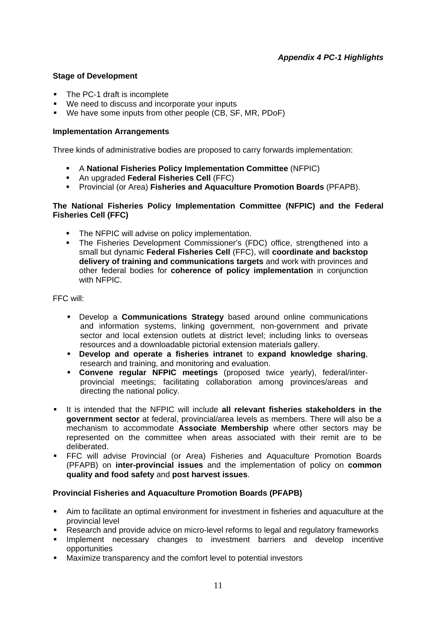## **Stage of Development**

- The PC-1 draft is incomplete
- We need to discuss and incorporate your inputs
- We have some inputs from other people (CB, SF, MR, PDoF)

### **Implementation Arrangements**

Three kinds of administrative bodies are proposed to carry forwards implementation:

- A **National Fisheries Policy Implementation Committee** (NFPIC)
- An upgraded **Federal Fisheries Cell** (FFC)
- Provincial (or Area) **Fisheries and Aquaculture Promotion Boards** (PFAPB).

### **The National Fisheries Policy Implementation Committee (NFPIC) and the Federal Fisheries Cell (FFC)**

- The NFPIC will advise on policy implementation.
- The Fisheries Development Commissioner's (FDC) office, strengthened into a small but dynamic **Federal Fisheries Cell** (FFC), will **coordinate and backstop delivery of training and communications targets** and work with provinces and other federal bodies for **coherence of policy implementation** in conjunction with NFPIC.

FFC will:

- Develop a **Communications Strategy** based around online communications and information systems, linking government, non-government and private sector and local extension outlets at district level; including links to overseas resources and a downloadable pictorial extension materials gallery.
- **Develop and operate a fisheries intranet** to **expand knowledge sharing**, research and training, and monitoring and evaluation.
- **Convene regular NFPIC meetings** (proposed twice yearly), federal/interprovincial meetings; facilitating collaboration among provinces/areas and directing the national policy.
- It is intended that the NFPIC will include **all relevant fisheries stakeholders in the government sector** at federal, provincial/area levels as members. There will also be a mechanism to accommodate **Associate Membership** where other sectors may be represented on the committee when areas associated with their remit are to be deliberated.
- FFC will advise Provincial (or Area) Fisheries and Aquaculture Promotion Boards (PFAPB) on **inter-provincial issues** and the implementation of policy on **common quality and food safety** and **post harvest issues**.

## **Provincial Fisheries and Aquaculture Promotion Boards (PFAPB)**

- Aim to facilitate an optimal environment for investment in fisheries and aquaculture at the provincial level
- **Research and provide advice on micro-level reforms to legal and regulatory frameworks**
- **Implement necessary changes to investment barriers and develop incentive** opportunities
- Maximize transparency and the comfort level to potential investors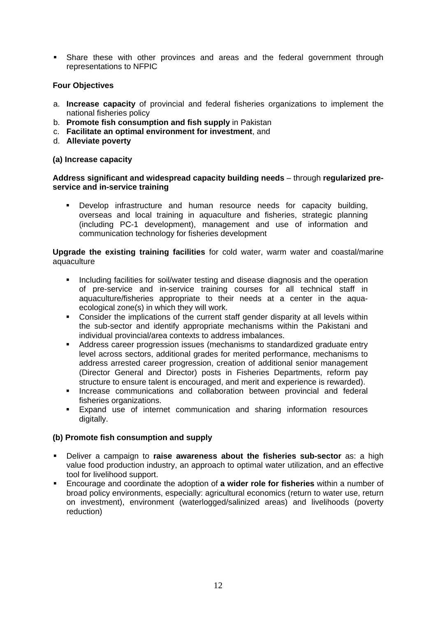Share these with other provinces and areas and the federal government through representations to NFPIC

## **Four Objectives**

- a. **Increase capacity** of provincial and federal fisheries organizations to implement the national fisheries policy
- b. **Promote fish consumption and fish supply** in Pakistan
- c. **Facilitate an optimal environment for investment**, and
- d. **Alleviate poverty**

## **(a) Increase capacity**

## **Address significant and widespread capacity building needs** – through **regularized preservice and in-service training**

 Develop infrastructure and human resource needs for capacity building, overseas and local training in aquaculture and fisheries, strategic planning (including PC-1 development), management and use of information and communication technology for fisheries development

### **Upgrade the existing training facilities** for cold water, warm water and coastal/marine aquaculture

- Including facilities for soil/water testing and disease diagnosis and the operation of pre-service and in-service training courses for all technical staff in aquaculture/fisheries appropriate to their needs at a center in the aquaecological zone(s) in which they will work.
- Consider the implications of the current staff gender disparity at all levels within the sub-sector and identify appropriate mechanisms within the Pakistani and individual provincial/area contexts to address imbalances.
- Address career progression issues (mechanisms to standardized graduate entry level across sectors, additional grades for merited performance, mechanisms to address arrested career progression, creation of additional senior management (Director General and Director) posts in Fisheries Departments, reform pay structure to ensure talent is encouraged, and merit and experience is rewarded).
- **Increase communications and collaboration between provincial and federal** fisheries organizations.
- Expand use of internet communication and sharing information resources digitally.

## **(b) Promote fish consumption and supply**

- Deliver a campaign to **raise awareness about the fisheries sub-sector** as: a high value food production industry, an approach to optimal water utilization, and an effective tool for livelihood support.
- Encourage and coordinate the adoption of **a wider role for fisheries** within a number of broad policy environments, especially: agricultural economics (return to water use, return on investment), environment (waterlogged/salinized areas) and livelihoods (poverty reduction)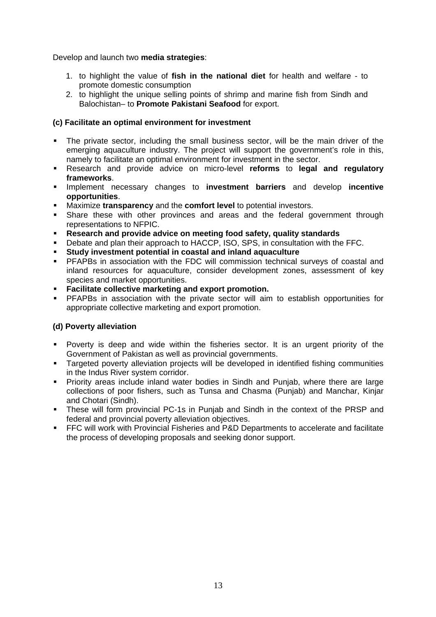Develop and launch two **media strategies**:

- 1. to highlight the value of **fish in the national diet** for health and welfare to promote domestic consumption
- 2. to highlight the unique selling points of shrimp and marine fish from Sindh and Balochistan– to **Promote Pakistani Seafood** for export.

## **(c) Facilitate an optimal environment for investment**

- The private sector, including the small business sector, will be the main driver of the emerging aquaculture industry. The project will support the government's role in this, namely to facilitate an optimal environment for investment in the sector.
- Research and provide advice on micro-level **reforms** to **legal and regulatory frameworks**.
- Implement necessary changes to **investment barriers** and develop **incentive opportunities**.
- Maximize **transparency** and the **comfort level** to potential investors.
- Share these with other provinces and areas and the federal government through representations to NFPIC.
- **Research and provide advice on meeting food safety, quality standards**
- **Debate and plan their approach to HACCP, ISO, SPS, in consultation with the FFC.**
- **Study investment potential in coastal and inland aquaculture**
- PFAPBs in association with the FDC will commission technical surveys of coastal and inland resources for aquaculture, consider development zones, assessment of key species and market opportunities.
- **Facilitate collective marketing and export promotion.**
- PFAPBs in association with the private sector will aim to establish opportunities for appropriate collective marketing and export promotion.

## **(d) Poverty alleviation**

- Poverty is deep and wide within the fisheries sector. It is an urgent priority of the Government of Pakistan as well as provincial governments.
- **Targeted poverty alleviation projects will be developed in identified fishing communities** in the Indus River system corridor.
- **Priority areas include inland water bodies in Sindh and Punjab, where there are large** collections of poor fishers, such as Tunsa and Chasma (Punjab) and Manchar, Kinjar and Chotari (Sindh).
- These will form provincial PC-1s in Punjab and Sindh in the context of the PRSP and federal and provincial poverty alleviation objectives.
- **FFC will work with Provincial Fisheries and P&D Departments to accelerate and facilitate** the process of developing proposals and seeking donor support.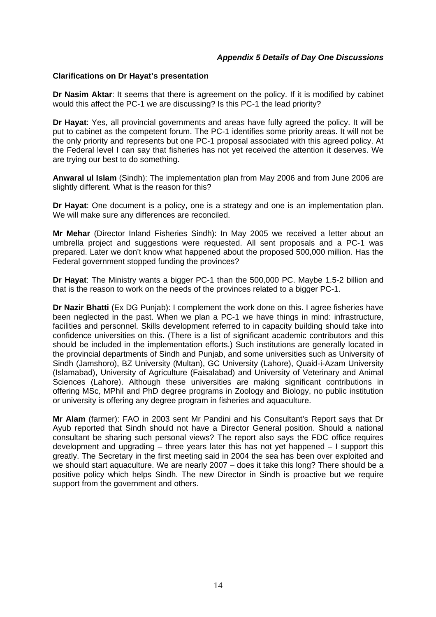### *Appendix 5 Details of Day One Discussions*

### **Clarifications on Dr Hayat's presentation**

**Dr Nasim Aktar**: It seems that there is agreement on the policy. If it is modified by cabinet would this affect the PC-1 we are discussing? Is this PC-1 the lead priority?

**Dr Hayat**: Yes, all provincial governments and areas have fully agreed the policy. It will be put to cabinet as the competent forum. The PC-1 identifies some priority areas. It will not be the only priority and represents but one PC-1 proposal associated with this agreed policy. At the Federal level I can say that fisheries has not yet received the attention it deserves. We are trying our best to do something.

**Anwaral ul Islam** (Sindh): The implementation plan from May 2006 and from June 2006 are slightly different. What is the reason for this?

**Dr Hayat**: One document is a policy, one is a strategy and one is an implementation plan. We will make sure any differences are reconciled.

**Mr Mehar** (Director Inland Fisheries Sindh): In May 2005 we received a letter about an umbrella project and suggestions were requested. All sent proposals and a PC-1 was prepared. Later we don't know what happened about the proposed 500,000 million. Has the Federal government stopped funding the provinces?

**Dr Hayat**: The Ministry wants a bigger PC-1 than the 500,000 PC. Maybe 1.5-2 billion and that is the reason to work on the needs of the provinces related to a bigger PC-1.

**Dr Nazir Bhatti** (Ex DG Punjab): I complement the work done on this. I agree fisheries have been neglected in the past. When we plan a PC-1 we have things in mind: infrastructure, facilities and personnel. Skills development referred to in capacity building should take into confidence universities on this. (There is a list of significant academic contributors and this should be included in the implementation efforts.) Such institutions are generally located in the provincial departments of Sindh and Punjab, and some universities such as University of Sindh (Jamshoro), BZ University (Multan), GC University (Lahore), Quaid-i-Azam University (Islamabad), University of Agriculture (Faisalabad) and University of Veterinary and Animal Sciences (Lahore). Although these universities are making significant contributions in offering MSc, MPhil and PhD degree programs in Zoology and Biology, no public institution or university is offering any degree program in fisheries and aquaculture.

**Mr Alam** (farmer): FAO in 2003 sent Mr Pandini and his Consultant's Report says that Dr Ayub reported that Sindh should not have a Director General position. Should a national consultant be sharing such personal views? The report also says the FDC office requires development and upgrading – three years later this has not yet happened – I support this greatly. The Secretary in the first meeting said in 2004 the sea has been over exploited and we should start aquaculture. We are nearly 2007 – does it take this long? There should be a positive policy which helps Sindh. The new Director in Sindh is proactive but we require support from the government and others.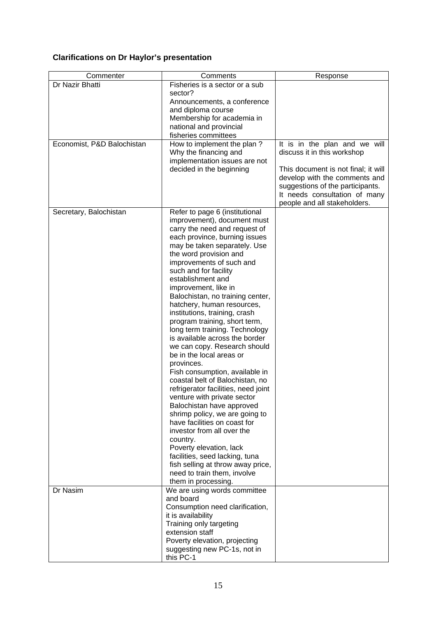## **Clarifications on Dr Haylor's presentation**

| Commenter                  | Comments<br>Response                                                                                                                                                                                                                                                                                                                                                                                                                                                                                                                                                                                                                                                                                                                                                                                                                                                                                                                                                                                                      |                                                                                                                                                                                                                                           |  |
|----------------------------|---------------------------------------------------------------------------------------------------------------------------------------------------------------------------------------------------------------------------------------------------------------------------------------------------------------------------------------------------------------------------------------------------------------------------------------------------------------------------------------------------------------------------------------------------------------------------------------------------------------------------------------------------------------------------------------------------------------------------------------------------------------------------------------------------------------------------------------------------------------------------------------------------------------------------------------------------------------------------------------------------------------------------|-------------------------------------------------------------------------------------------------------------------------------------------------------------------------------------------------------------------------------------------|--|
| Dr Nazir Bhatti            | Fisheries is a sector or a sub<br>sector?<br>Announcements, a conference<br>and diploma course<br>Membership for academia in<br>national and provincial                                                                                                                                                                                                                                                                                                                                                                                                                                                                                                                                                                                                                                                                                                                                                                                                                                                                   |                                                                                                                                                                                                                                           |  |
|                            | fisheries committees                                                                                                                                                                                                                                                                                                                                                                                                                                                                                                                                                                                                                                                                                                                                                                                                                                                                                                                                                                                                      |                                                                                                                                                                                                                                           |  |
| Economist, P&D Balochistan | How to implement the plan?<br>Why the financing and<br>implementation issues are not<br>decided in the beginning                                                                                                                                                                                                                                                                                                                                                                                                                                                                                                                                                                                                                                                                                                                                                                                                                                                                                                          | It is in the plan and we will<br>discuss it in this workshop<br>This document is not final; it will<br>develop with the comments and<br>suggestions of the participants.<br>It needs consultation of many<br>people and all stakeholders. |  |
| Secretary, Balochistan     | Refer to page 6 (institutional<br>improvement), document must<br>carry the need and request of<br>each province, burning issues<br>may be taken separately. Use<br>the word provision and<br>improvements of such and<br>such and for facility<br>establishment and<br>improvement, like in<br>Balochistan, no training center,<br>hatchery, human resources,<br>institutions, training, crash<br>program training, short term,<br>long term training. Technology<br>is available across the border<br>we can copy. Research should<br>be in the local areas or<br>provinces.<br>Fish consumption, available in<br>coastal belt of Balochistan, no<br>refrigerator facilities, need joint<br>venture with private sector<br>Balochistan have approved<br>shrimp policy, we are going to<br>have facilities on coast for<br>investor from all over the<br>country.<br>Poverty elevation, lack<br>facilities, seed lacking, tuna<br>fish selling at throw away price,<br>need to train them, involve<br>them in processing. |                                                                                                                                                                                                                                           |  |
| Dr Nasim                   | We are using words committee<br>and board<br>Consumption need clarification,<br>it is availability<br>Training only targeting<br>extension staff<br>Poverty elevation, projecting<br>suggesting new PC-1s, not in<br>this PC-1                                                                                                                                                                                                                                                                                                                                                                                                                                                                                                                                                                                                                                                                                                                                                                                            |                                                                                                                                                                                                                                           |  |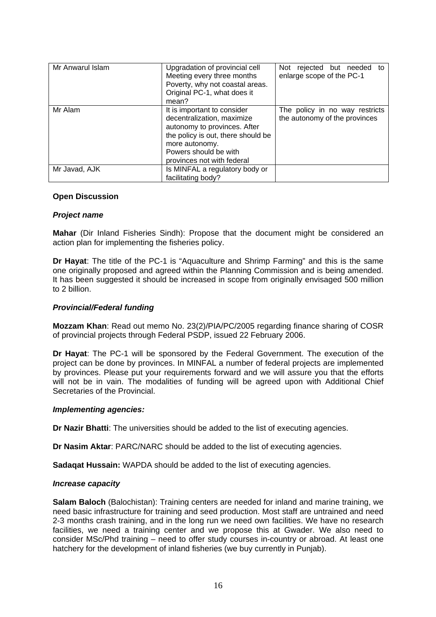| Mr Anwarul Islam | Upgradation of provincial cell<br>Meeting every three months<br>Poverty, why not coastal areas.<br>Original PC-1, what does it<br>mean?                                                                  | Not rejected but needed<br>to<br>enlarge scope of the PC-1      |
|------------------|----------------------------------------------------------------------------------------------------------------------------------------------------------------------------------------------------------|-----------------------------------------------------------------|
| Mr Alam          | It is important to consider<br>decentralization, maximize<br>autonomy to provinces. After<br>the policy is out, there should be<br>more autonomy.<br>Powers should be with<br>provinces not with federal | The policy in no way restricts<br>the autonomy of the provinces |
| Mr Javad, AJK    | Is MINFAL a regulatory body or<br>facilitating body?                                                                                                                                                     |                                                                 |

### **Open Discussion**

### *Project name*

**Mahar** (Dir Inland Fisheries Sindh): Propose that the document might be considered an action plan for implementing the fisheries policy.

**Dr Hayat**: The title of the PC-1 is "Aquaculture and Shrimp Farming" and this is the same one originally proposed and agreed within the Planning Commission and is being amended. It has been suggested it should be increased in scope from originally envisaged 500 million to 2 billion.

### *Provincial/Federal funding*

**Mozzam Khan**: Read out memo No. 23(2)/PIA/PC/2005 regarding finance sharing of COSR of provincial projects through Federal PSDP, issued 22 February 2006.

**Dr Hayat**: The PC-1 will be sponsored by the Federal Government. The execution of the project can be done by provinces. In MINFAL a number of federal projects are implemented by provinces. Please put your requirements forward and we will assure you that the efforts will not be in vain. The modalities of funding will be agreed upon with Additional Chief Secretaries of the Provincial.

#### *Implementing agencies:*

**Dr Nazir Bhatti**: The universities should be added to the list of executing agencies.

**Dr Nasim Aktar**: PARC/NARC should be added to the list of executing agencies.

**Sadaqat Hussain:** WAPDA should be added to the list of executing agencies.

#### *Increase capacity*

**Salam Baloch** (Balochistan): Training centers are needed for inland and marine training, we need basic infrastructure for training and seed production. Most staff are untrained and need 2-3 months crash training, and in the long run we need own facilities. We have no research facilities, we need a training center and we propose this at Gwader. We also need to consider MSc/Phd training – need to offer study courses in-country or abroad. At least one hatchery for the development of inland fisheries (we buy currently in Punjab).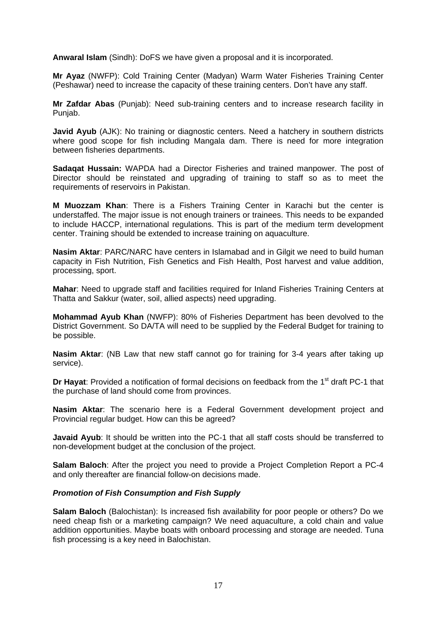**Anwaral Islam** (Sindh): DoFS we have given a proposal and it is incorporated.

**Mr Ayaz** (NWFP): Cold Training Center (Madyan) Warm Water Fisheries Training Center (Peshawar) need to increase the capacity of these training centers. Don't have any staff.

**Mr Zafdar Abas** (Punjab): Need sub-training centers and to increase research facility in Punjab.

**Javid Ayub** (AJK): No training or diagnostic centers. Need a hatchery in southern districts where good scope for fish including Mangala dam. There is need for more integration between fisheries departments.

**Sadaqat Hussain:** WAPDA had a Director Fisheries and trained manpower. The post of Director should be reinstated and upgrading of training to staff so as to meet the requirements of reservoirs in Pakistan.

**M Muozzam Khan**: There is a Fishers Training Center in Karachi but the center is understaffed. The major issue is not enough trainers or trainees. This needs to be expanded to include HACCP, international regulations. This is part of the medium term development center. Training should be extended to increase training on aquaculture.

**Nasim Aktar**: PARC/NARC have centers in Islamabad and in Gilgit we need to build human capacity in Fish Nutrition, Fish Genetics and Fish Health, Post harvest and value addition, processing, sport.

**Mahar**: Need to upgrade staff and facilities required for Inland Fisheries Training Centers at Thatta and Sakkur (water, soil, allied aspects) need upgrading.

**Mohammad Ayub Khan** (NWFP): 80% of Fisheries Department has been devolved to the District Government. So DA/TA will need to be supplied by the Federal Budget for training to be possible.

**Nasim Aktar**: (NB Law that new staff cannot go for training for 3-4 years after taking up service).

**Dr Hayat:** Provided a notification of formal decisions on feedback from the 1<sup>st</sup> draft PC-1 that the purchase of land should come from provinces.

**Nasim Aktar**: The scenario here is a Federal Government development project and Provincial regular budget. How can this be agreed?

**Javaid Ayub**: It should be written into the PC-1 that all staff costs should be transferred to non-development budget at the conclusion of the project.

**Salam Baloch**: After the project you need to provide a Project Completion Report a PC-4 and only thereafter are financial follow-on decisions made.

#### *Promotion of Fish Consumption and Fish Supply*

**Salam Baloch** (Balochistan): Is increased fish availability for poor people or others? Do we need cheap fish or a marketing campaign? We need aquaculture, a cold chain and value addition opportunities. Maybe boats with onboard processing and storage are needed. Tuna fish processing is a key need in Balochistan.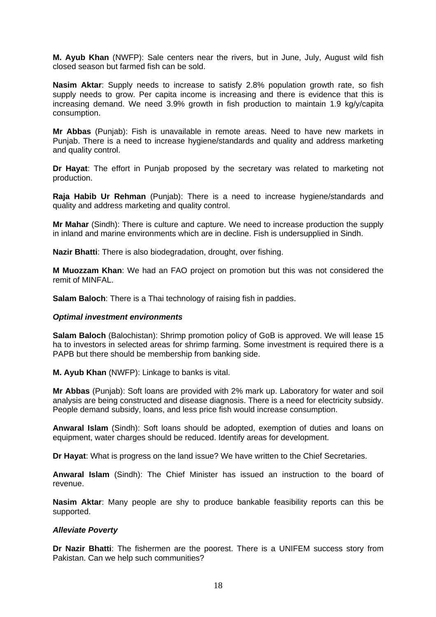**M. Ayub Khan** (NWFP): Sale centers near the rivers, but in June, July, August wild fish closed season but farmed fish can be sold.

**Nasim Aktar**: Supply needs to increase to satisfy 2.8% population growth rate, so fish supply needs to grow. Per capita income is increasing and there is evidence that this is increasing demand. We need 3.9% growth in fish production to maintain 1.9 kg/y/capita consumption.

**Mr Abbas** (Punjab): Fish is unavailable in remote areas. Need to have new markets in Punjab. There is a need to increase hygiene/standards and quality and address marketing and quality control.

**Dr Hayat**: The effort in Punjab proposed by the secretary was related to marketing not production.

**Raja Habib Ur Rehman** (Punjab): There is a need to increase hygiene/standards and quality and address marketing and quality control.

**Mr Mahar** (Sindh): There is culture and capture. We need to increase production the supply in inland and marine environments which are in decline. Fish is undersupplied in Sindh.

**Nazir Bhatti**: There is also biodegradation, drought, over fishing.

**M Muozzam Khan**: We had an FAO project on promotion but this was not considered the remit of MINFAL.

**Salam Baloch**: There is a Thai technology of raising fish in paddies.

#### *Optimal investment environments*

**Salam Baloch** (Balochistan): Shrimp promotion policy of GoB is approved. We will lease 15 ha to investors in selected areas for shrimp farming. Some investment is required there is a PAPB but there should be membership from banking side.

**M. Ayub Khan** (NWFP): Linkage to banks is vital.

**Mr Abbas** (Punjab): Soft loans are provided with 2% mark up. Laboratory for water and soil analysis are being constructed and disease diagnosis. There is a need for electricity subsidy. People demand subsidy, loans, and less price fish would increase consumption.

**Anwaral Islam** (Sindh): Soft loans should be adopted, exemption of duties and loans on equipment, water charges should be reduced. Identify areas for development.

**Dr Hayat**: What is progress on the land issue? We have written to the Chief Secretaries.

**Anwaral Islam** (Sindh): The Chief Minister has issued an instruction to the board of revenue.

**Nasim Aktar**: Many people are shy to produce bankable feasibility reports can this be supported.

#### *Alleviate Poverty*

**Dr Nazir Bhatti**: The fishermen are the poorest. There is a UNIFEM success story from Pakistan. Can we help such communities?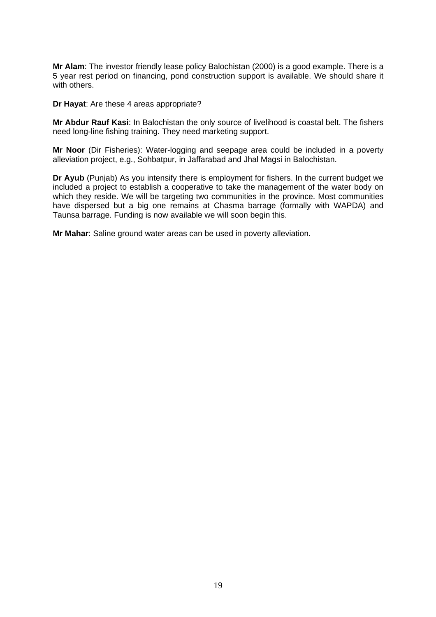**Mr Alam**: The investor friendly lease policy Balochistan (2000) is a good example. There is a 5 year rest period on financing, pond construction support is available. We should share it with others.

**Dr Hayat**: Are these 4 areas appropriate?

**Mr Abdur Rauf Kasi**: In Balochistan the only source of livelihood is coastal belt. The fishers need long-line fishing training. They need marketing support.

**Mr Noor** (Dir Fisheries): Water-logging and seepage area could be included in a poverty alleviation project, e.g., Sohbatpur, in Jaffarabad and Jhal Magsi in Balochistan.

**Dr Ayub** (Punjab) As you intensify there is employment for fishers. In the current budget we included a project to establish a cooperative to take the management of the water body on which they reside. We will be targeting two communities in the province. Most communities have dispersed but a big one remains at Chasma barrage (formally with WAPDA) and Taunsa barrage. Funding is now available we will soon begin this.

**Mr Mahar**: Saline ground water areas can be used in poverty alleviation.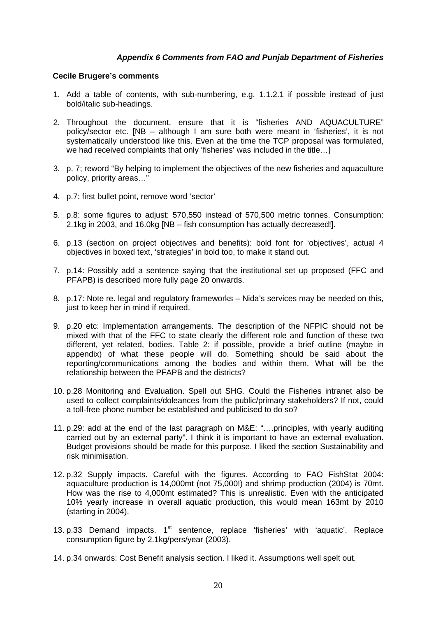## *Appendix 6 Comments from FAO and Punjab Department of Fisheries*

#### **Cecile Brugere's comments**

- 1. Add a table of contents, with sub-numbering, e.g. 1.1.2.1 if possible instead of just bold/italic sub-headings.
- 2. Throughout the document, ensure that it is "fisheries AND AQUACULTURE" policy/sector etc. [NB – although I am sure both were meant in 'fisheries', it is not systematically understood like this. Even at the time the TCP proposal was formulated, we had received complaints that only 'fisheries' was included in the title…]
- 3. p. 7; reword "By helping to implement the objectives of the new fisheries and aquaculture policy, priority areas…"
- 4. p.7: first bullet point, remove word 'sector'
- 5. p.8: some figures to adjust: 570,550 instead of 570,500 metric tonnes. Consumption: 2.1kg in 2003, and 16.0kg [NB – fish consumption has actually decreased!].
- 6. p.13 (section on project objectives and benefits): bold font for 'objectives', actual 4 objectives in boxed text, 'strategies' in bold too, to make it stand out.
- 7. p.14: Possibly add a sentence saying that the institutional set up proposed (FFC and PFAPB) is described more fully page 20 onwards.
- 8. p.17: Note re. legal and regulatory frameworks Nida's services may be needed on this, just to keep her in mind if required.
- 9. p.20 etc: Implementation arrangements. The description of the NFPIC should not be mixed with that of the FFC to state clearly the different role and function of these two different, yet related, bodies. Table 2: if possible, provide a brief outline (maybe in appendix) of what these people will do. Something should be said about the reporting/communications among the bodies and within them. What will be the relationship between the PFAPB and the districts?
- 10. p.28 Monitoring and Evaluation. Spell out SHG. Could the Fisheries intranet also be used to collect complaints/doleances from the public/primary stakeholders? If not, could a toll-free phone number be established and publicised to do so?
- 11. p.29: add at the end of the last paragraph on M&E: "….principles, with yearly auditing carried out by an external party". I think it is important to have an external evaluation. Budget provisions should be made for this purpose. I liked the section Sustainability and risk minimisation.
- 12. p.32 Supply impacts. Careful with the figures. According to FAO FishStat 2004: aquaculture production is 14,000mt (not 75,000!) and shrimp production (2004) is 70mt. How was the rise to 4,000mt estimated? This is unrealistic. Even with the anticipated 10% yearly increase in overall aquatic production, this would mean 163mt by 2010 (starting in 2004).
- 13. p.33 Demand impacts.  $1<sup>st</sup>$  sentence, replace 'fisheries' with 'aquatic'. Replace consumption figure by 2.1kg/pers/year (2003).
- 14. p.34 onwards: Cost Benefit analysis section. I liked it. Assumptions well spelt out.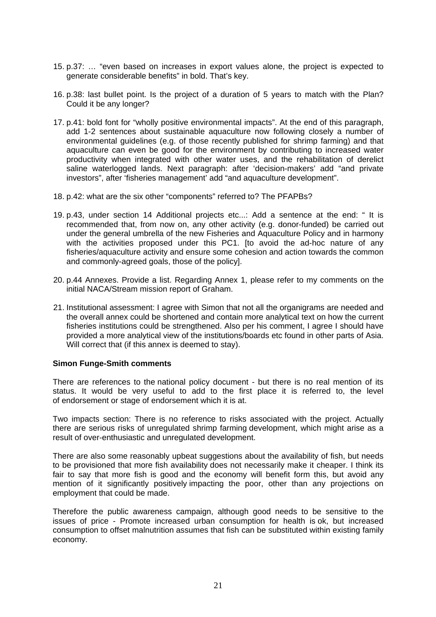- 15. p.37: … "even based on increases in export values alone, the project is expected to generate considerable benefits" in bold. That's key.
- 16. p.38: last bullet point. Is the project of a duration of 5 years to match with the Plan? Could it be any longer?
- 17. p.41: bold font for "wholly positive environmental impacts". At the end of this paragraph, add 1-2 sentences about sustainable aquaculture now following closely a number of environmental guidelines (e.g. of those recently published for shrimp farming) and that aquaculture can even be good for the environment by contributing to increased water productivity when integrated with other water uses, and the rehabilitation of derelict saline waterlogged lands. Next paragraph: after 'decision-makers' add "and private investors", after 'fisheries management' add "and aquaculture development".
- 18. p.42: what are the six other "components" referred to? The PFAPBs?
- 19. p.43, under section 14 Additional projects etc...: Add a sentence at the end: " It is recommended that, from now on, any other activity (e.g. donor-funded) be carried out under the general umbrella of the new Fisheries and Aquaculture Policy and in harmony with the activities proposed under this PC1. [to avoid the ad-hoc nature of any fisheries/aquaculture activity and ensure some cohesion and action towards the common and commonly-agreed goals, those of the policy].
- 20. p.44 Annexes. Provide a list. Regarding Annex 1, please refer to my comments on the initial NACA/Stream mission report of Graham.
- 21. Institutional assessment: I agree with Simon that not all the organigrams are needed and the overall annex could be shortened and contain more analytical text on how the current fisheries institutions could be strengthened. Also per his comment, I agree I should have provided a more analytical view of the institutions/boards etc found in other parts of Asia. Will correct that (if this annex is deemed to stay).

#### **Simon Funge-Smith comments**

There are references to the national policy document - but there is no real mention of its status. It would be very useful to add to the first place it is referred to, the level of endorsement or stage of endorsement which it is at.

Two impacts section: There is no reference to risks associated with the project. Actually there are serious risks of unregulated shrimp farming development, which might arise as a result of over-enthusiastic and unregulated development.

There are also some reasonably upbeat suggestions about the availability of fish, but needs to be provisioned that more fish availability does not necessarily make it cheaper. I think its fair to say that more fish is good and the economy will benefit form this, but avoid any mention of it significantly positively impacting the poor, other than any projections on employment that could be made.

Therefore the public awareness campaign, although good needs to be sensitive to the issues of price - Promote increased urban consumption for health is ok, but increased consumption to offset malnutrition assumes that fish can be substituted within existing family economy.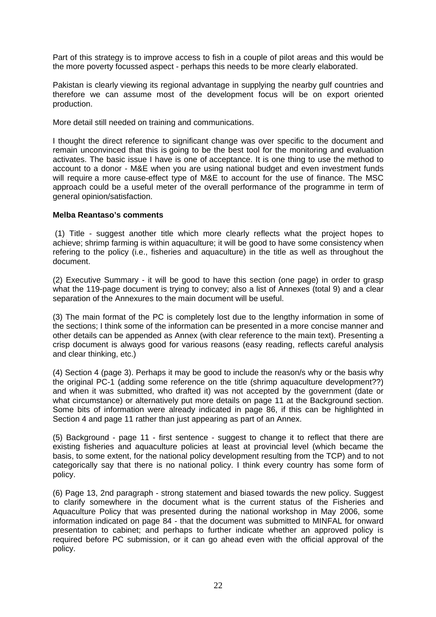Part of this strategy is to improve access to fish in a couple of pilot areas and this would be the more poverty focussed aspect - perhaps this needs to be more clearly elaborated.

Pakistan is clearly viewing its regional advantage in supplying the nearby gulf countries and therefore we can assume most of the development focus will be on export oriented production.

More detail still needed on training and communications.

I thought the direct reference to significant change was over specific to the document and remain unconvinced that this is going to be the best tool for the monitoring and evaluation activates. The basic issue I have is one of acceptance. It is one thing to use the method to account to a donor - M&E when you are using national budget and even investment funds will require a more cause-effect type of M&E to account for the use of finance. The MSC approach could be a useful meter of the overall performance of the programme in term of general opinion/satisfaction.

### **Melba Reantaso's comments**

 (1) Title - suggest another title which more clearly reflects what the project hopes to achieve; shrimp farming is within aquaculture; it will be good to have some consistency when refering to the policy (i.e., fisheries and aquaculture) in the title as well as throughout the document.

(2) Executive Summary - it will be good to have this section (one page) in order to grasp what the 119-page document is trying to convey; also a list of Annexes (total 9) and a clear separation of the Annexures to the main document will be useful.

(3) The main format of the PC is completely lost due to the lengthy information in some of the sections; I think some of the information can be presented in a more concise manner and other details can be appended as Annex (with clear reference to the main text). Presenting a crisp document is always good for various reasons (easy reading, reflects careful analysis and clear thinking, etc.)

(4) Section 4 (page 3). Perhaps it may be good to include the reason/s why or the basis why the original PC-1 (adding some reference on the title (shrimp aquaculture development??) and when it was submitted, who drafted it) was not accepted by the government (date or what circumstance) or alternatively put more details on page 11 at the Background section. Some bits of information were already indicated in page 86, if this can be highlighted in Section 4 and page 11 rather than just appearing as part of an Annex.

(5) Background - page 11 - first sentence - suggest to change it to reflect that there are existing fisheries and aquaculture policies at least at provincial level (which became the basis, to some extent, for the national policy development resulting from the TCP) and to not categorically say that there is no national policy. I think every country has some form of policy.

(6) Page 13, 2nd paragraph - strong statement and biased towards the new policy. Suggest to clarify somewhere in the document what is the current status of the Fisheries and Aquaculture Policy that was presented during the national workshop in May 2006, some information indicated on page 84 - that the document was submitted to MINFAL for onward presentation to cabinet; and perhaps to further indicate whether an approved policy is required before PC submission, or it can go ahead even with the official approval of the policy.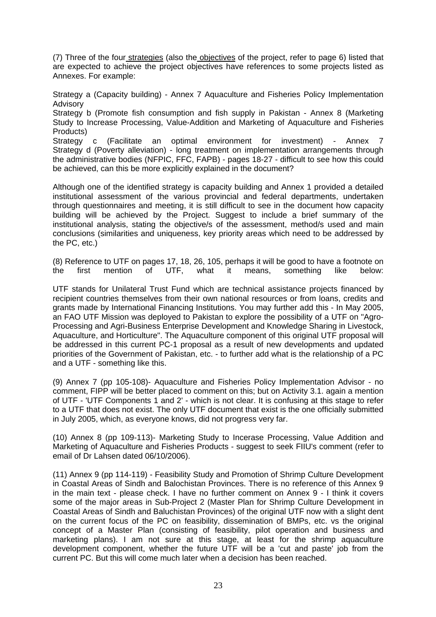(7) Three of the four strategies (also the objectives of the project, refer to page 6) listed that are expected to achieve the project objectives have references to some projects listed as Annexes. For example:

Strategy a (Capacity building) - Annex 7 Aquaculture and Fisheries Policy Implementation Advisory

Strategy b (Promote fish consumption and fish supply in Pakistan - Annex 8 (Marketing Study to Increase Processing, Value-Addition and Marketing of Aquaculture and Fisheries Products)

Strategy c (Facilitate an optimal environment for investment) - Annex 7 Strategy d (Poverty alleviation) - long treatment on implementation arrangements through the administrative bodies (NFPIC, FFC, FAPB) - pages 18-27 - difficult to see how this could be achieved, can this be more explicitly explained in the document?

Although one of the identified strategy is capacity building and Annex 1 provided a detailed institutional assessment of the various provincial and federal departments, undertaken through questionnaires and meeting, it is still difficult to see in the document how capacity building will be achieved by the Project. Suggest to include a brief summary of the institutional analysis, stating the objective/s of the assessment, method/s used and main conclusions (similarities and uniqueness, key priority areas which need to be addressed by the PC, etc.)

(8) Reference to UTF on pages 17, 18, 26, 105, perhaps it will be good to have a footnote on the first mention of UTF, what it means, something like below:

UTF stands for Unilateral Trust Fund which are technical assistance projects financed by recipient countries themselves from their own national resources or from loans, credits and grants made by International Financing Institutions. You may further add this - In May 2005, an FAO UTF Mission was deployed to Pakistan to explore the possibility of a UTF on "Agro-Processing and Agri-Business Enterprise Development and Knowledge Sharing in Livestock, Aquaculture, and Horticulture". The Aquaculture component of this original UTF proposal will be addressed in this current PC-1 proposal as a result of new developments and updated priorities of the Government of Pakistan, etc. - to further add what is the relationship of a PC and a UTF - something like this.

(9) Annex 7 (pp 105-108)- Aquaculture and Fisheries Policy Implementation Advisor - no comment, FIPP will be better placed to comment on this; but on Activity 3.1. again a mention of UTF - 'UTF Components 1 and 2' - which is not clear. It is confusing at this stage to refer to a UTF that does not exist. The only UTF document that exist is the one officially submitted in July 2005, which, as everyone knows, did not progress very far.

(10) Annex 8 (pp 109-113)- Marketing Study to Incerase Processing, Value Addition and Marketing of Aquaculture and Fisheries Products - suggest to seek FIIU's comment (refer to email of Dr Lahsen dated 06/10/2006).

(11) Annex 9 (pp 114-119) - Feasibility Study and Promotion of Shrimp Culture Development in Coastal Areas of Sindh and Balochistan Provinces. There is no reference of this Annex 9 in the main text - please check. I have no further comment on Annex 9 - I think it covers some of the major areas in Sub-Project 2 (Master Plan for Shrimp Culture Development in Coastal Areas of Sindh and Baluchistan Provinces) of the original UTF now with a slight dent on the current focus of the PC on feasibility, dissemination of BMPs, etc. vs the original concept of a Master Plan (consisting of feasibility, pilot operation and business and marketing plans). I am not sure at this stage, at least for the shrimp aquaculture development component, whether the future UTF will be a 'cut and paste' job from the current PC. But this will come much later when a decision has been reached.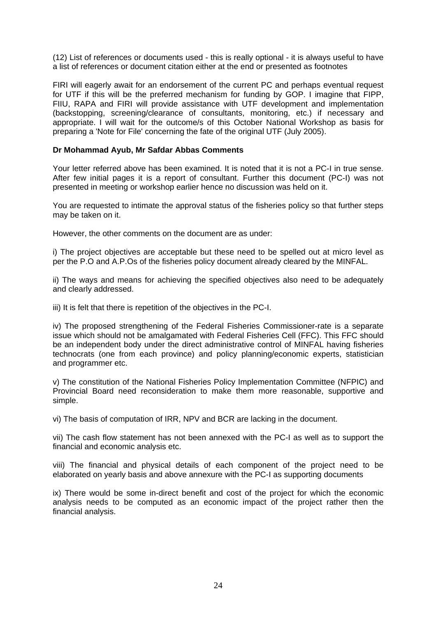(12) List of references or documents used - this is really optional - it is always useful to have a list of references or document citation either at the end or presented as footnotes

FIRI will eagerly await for an endorsement of the current PC and perhaps eventual request for UTF if this will be the preferred mechanism for funding by GOP. I imagine that FIPP, FIIU, RAPA and FIRI will provide assistance with UTF development and implementation (backstopping, screening/clearance of consultants, monitoring, etc.) if necessary and appropriate. I will wait for the outcome/s of this October National Workshop as basis for preparing a 'Note for File' concerning the fate of the original UTF (July 2005).

### **Dr Mohammad Ayub, Mr Safdar Abbas Comments**

Your letter referred above has been examined. It is noted that it is not a PC-I in true sense. After few initial pages it is a report of consultant. Further this document (PC-I) was not presented in meeting or workshop earlier hence no discussion was held on it.

You are requested to intimate the approval status of the fisheries policy so that further steps may be taken on it.

However, the other comments on the document are as under:

i) The project objectives are acceptable but these need to be spelled out at micro level as per the P.O and A.P.Os of the fisheries policy document already cleared by the MINFAL.

ii) The ways and means for achieving the specified objectives also need to be adequately and clearly addressed.

iii) It is felt that there is repetition of the objectives in the PC-I.

iv) The proposed strengthening of the Federal Fisheries Commissioner-rate is a separate issue which should not be amalgamated with Federal Fisheries Cell (FFC). This FFC should be an independent body under the direct administrative control of MINFAL having fisheries technocrats (one from each province) and policy planning/economic experts, statistician and programmer etc.

v) The constitution of the National Fisheries Policy Implementation Committee (NFPIC) and Provincial Board need reconsideration to make them more reasonable, supportive and simple.

vi) The basis of computation of IRR, NPV and BCR are lacking in the document.

vii) The cash flow statement has not been annexed with the PC-I as well as to support the financial and economic analysis etc.

viii) The financial and physical details of each component of the project need to be elaborated on yearly basis and above annexure with the PC-I as supporting documents

ix) There would be some in-direct benefit and cost of the project for which the economic analysis needs to be computed as an economic impact of the project rather then the financial analysis.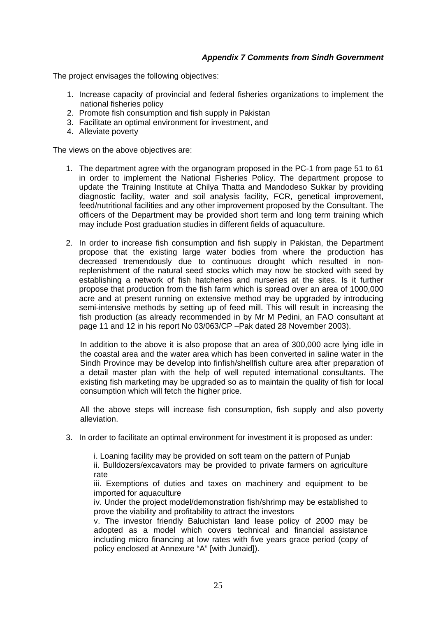### *Appendix 7 Comments from Sindh Government*

The project envisages the following objectives:

- 1. Increase capacity of provincial and federal fisheries organizations to implement the national fisheries policy
- 2. Promote fish consumption and fish supply in Pakistan
- 3. Facilitate an optimal environment for investment, and
- 4. Alleviate poverty

The views on the above obiectives are:

- 1. The department agree with the organogram proposed in the PC-1 from page 51 to 61 in order to implement the National Fisheries Policy. The department propose to update the Training Institute at Chilya Thatta and Mandodeso Sukkar by providing diagnostic facility, water and soil analysis facility, FCR, genetical improvement, feed/nutritional facilities and any other improvement proposed by the Consultant. The officers of the Department may be provided short term and long term training which may include Post graduation studies in different fields of aquaculture.
- 2. In order to increase fish consumption and fish supply in Pakistan, the Department propose that the existing large water bodies from where the production has decreased tremendously due to continuous drought which resulted in nonreplenishment of the natural seed stocks which may now be stocked with seed by establishing a network of fish hatcheries and nurseries at the sites. Is it further propose that production from the fish farm which is spread over an area of 1000,000 acre and at present running on extensive method may be upgraded by introducing semi-intensive methods by setting up of feed mill. This will result in increasing the fish production (as already recommended in by Mr M Pedini, an FAO consultant at page 11 and 12 in his report No 03/063/CP –Pak dated 28 November 2003).

In addition to the above it is also propose that an area of 300,000 acre lying idle in the coastal area and the water area which has been converted in saline water in the Sindh Province may be develop into finfish/shellfish culture area after preparation of a detail master plan with the help of well reputed international consultants. The existing fish marketing may be upgraded so as to maintain the quality of fish for local consumption which will fetch the higher price.

All the above steps will increase fish consumption, fish supply and also poverty alleviation.

3. In order to facilitate an optimal environment for investment it is proposed as under:

i. Loaning facility may be provided on soft team on the pattern of Punjab

ii. Bulldozers/excavators may be provided to private farmers on agriculture rate

iii. Exemptions of duties and taxes on machinery and equipment to be imported for aquaculture

iv. Under the project model/demonstration fish/shrimp may be established to prove the viability and profitability to attract the investors

v. The investor friendly Baluchistan land lease policy of 2000 may be adopted as a model which covers technical and financial assistance including micro financing at low rates with five years grace period (copy of policy enclosed at Annexure "A" [with Junaid]).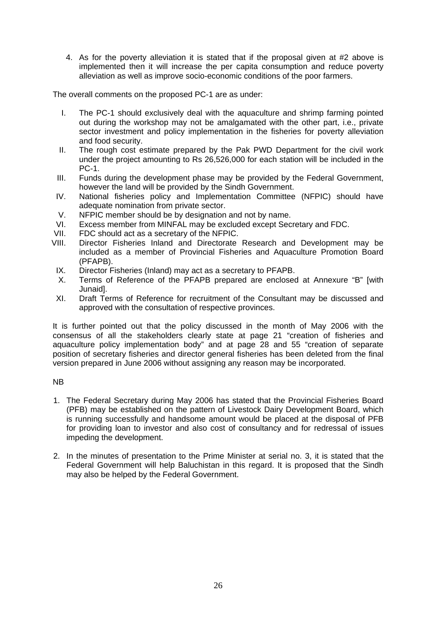4. As for the poverty alleviation it is stated that if the proposal given at #2 above is implemented then it will increase the per capita consumption and reduce poverty alleviation as well as improve socio-economic conditions of the poor farmers.

The overall comments on the proposed PC-1 are as under:

- I. The PC-1 should exclusively deal with the aquaculture and shrimp farming pointed out during the workshop may not be amalgamated with the other part, i.e., private sector investment and policy implementation in the fisheries for poverty alleviation and food security.
- II. The rough cost estimate prepared by the Pak PWD Department for the civil work under the project amounting to Rs 26,526,000 for each station will be included in the PC-1.
- III. Funds during the development phase may be provided by the Federal Government, however the land will be provided by the Sindh Government.
- IV. National fisheries policy and Implementation Committee (NFPIC) should have adequate nomination from private sector.
- V. NFPIC member should be by designation and not by name.
- VI. Excess member from MINFAL may be excluded except Secretary and FDC.
- VII. FDC should act as a secretary of the NFPIC.
- VIII. Director Fisheries Inland and Directorate Research and Development may be included as a member of Provincial Fisheries and Aquaculture Promotion Board (PFAPB).
- IX. Director Fisheries (Inland) may act as a secretary to PFAPB.
- X. Terms of Reference of the PFAPB prepared are enclosed at Annexure "B" [with Junaid].
- XI. Draft Terms of Reference for recruitment of the Consultant may be discussed and approved with the consultation of respective provinces.

It is further pointed out that the policy discussed in the month of May 2006 with the consensus of all the stakeholders clearly state at page 21 "creation of fisheries and aquaculture policy implementation body" and at page 28 and 55 "creation of separate position of secretary fisheries and director general fisheries has been deleted from the final version prepared in June 2006 without assigning any reason may be incorporated.

## NB

- 1. The Federal Secretary during May 2006 has stated that the Provincial Fisheries Board (PFB) may be established on the pattern of Livestock Dairy Development Board, which is running successfully and handsome amount would be placed at the disposal of PFB for providing loan to investor and also cost of consultancy and for redressal of issues impeding the development.
- 2. In the minutes of presentation to the Prime Minister at serial no. 3, it is stated that the Federal Government will help Baluchistan in this regard. It is proposed that the Sindh may also be helped by the Federal Government.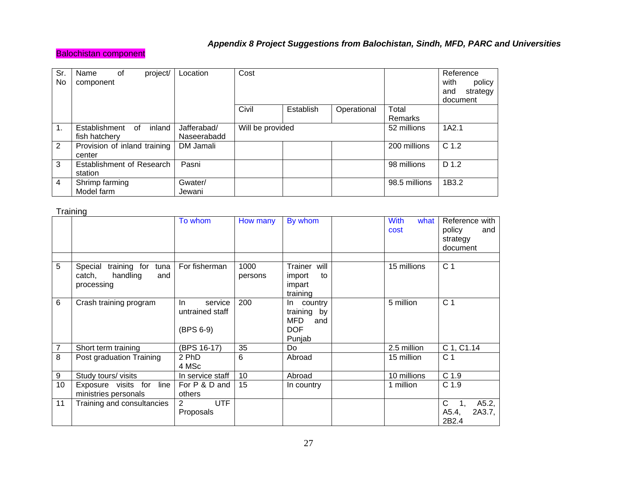## *Appendix 8 Project Suggestions from Balochistan, Sindh, MFD, PARC and Universities*

## Balochistan component

| Sr.<br>No      | 0f<br>Name<br>component      | project/     | Location    | Cost             |           |             |               | Reference<br>with<br>policy<br>strategy<br>and<br>document |
|----------------|------------------------------|--------------|-------------|------------------|-----------|-------------|---------------|------------------------------------------------------------|
|                |                              |              |             | Civil            | Establish | Operational | Total         |                                                            |
|                |                              |              |             |                  |           |             | Remarks       |                                                            |
| $\mathbf 1$ .  | Establishment                | inland<br>0f | Jafferabad/ | Will be provided |           |             | 52 millions   | 1A2.1                                                      |
|                | fish hatchery                |              | Naseerabadd |                  |           |             |               |                                                            |
| 2              | Provision of inland training |              | DM Jamali   |                  |           |             | 200 millions  | C <sub>1.2</sub>                                           |
|                | center                       |              |             |                  |           |             |               |                                                            |
| 3              | Establishment of Research    |              | Pasni       |                  |           |             | 98 millions   | D 1.2                                                      |
|                | station                      |              |             |                  |           |             |               |                                                            |
| $\overline{4}$ | Shrimp farming               |              | Gwater/     |                  |           |             | 98.5 millions | 1B3.2                                                      |
|                | Model farm                   |              | Jewani      |                  |           |             |               |                                                            |

**Training** 

|    |                                                                            | To whom                                        | How many        | By whom                                                          | <b>With</b><br>what<br>cost | Reference with<br>policy<br>and<br>strategy<br>document |
|----|----------------------------------------------------------------------------|------------------------------------------------|-----------------|------------------------------------------------------------------|-----------------------------|---------------------------------------------------------|
| 5  | training for<br>Special<br>tuna<br>catch,<br>handling<br>and<br>processing | For fisherman                                  | 1000<br>persons | Trainer will<br>import<br>to<br>impart<br>training               | 15 millions                 | C <sub>1</sub>                                          |
| 6  | Crash training program                                                     | In.<br>service<br>untrained staff<br>(BPS 6-9) | 200             | In country<br>training by<br>MFD.<br>and<br><b>DOF</b><br>Punjab | 5 million                   | C <sub>1</sub>                                          |
|    | Short term training                                                        | (BPS 16-17)                                    | 35              | Do                                                               | 2.5 million                 | C 1, C1.14                                              |
| 8  | Post graduation Training                                                   | 2 PhD<br>4 MSc                                 | 6               | Abroad                                                           | 15 million                  | C <sub>1</sub>                                          |
| 9  | Study tours/ visits                                                        | In service staff                               | 10              | Abroad                                                           | 10 millions                 | C <sub>1.9</sub>                                        |
| 10 | Exposure visits for line<br>ministries personals                           | For P & D and<br>others                        | 15              | In country                                                       | 1 million                   | C <sub>1.9</sub>                                        |
| 11 | Training and consultancies                                                 | <b>UTF</b><br>2<br>Proposals                   |                 |                                                                  |                             | C<br>A5.2,<br>1,<br>A5.4,<br>2A3.7,<br>2B2.4            |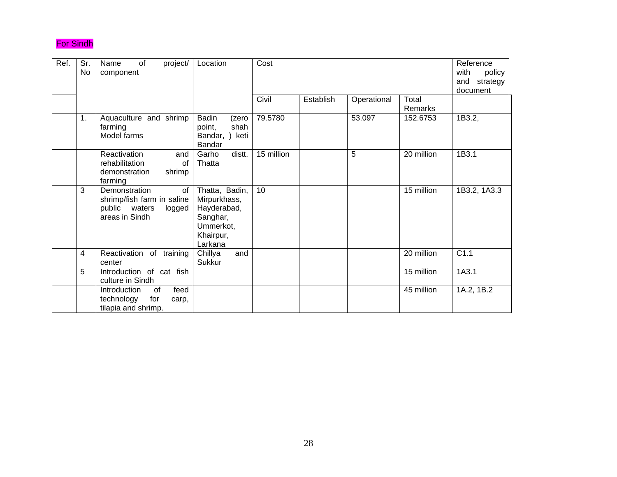## For Sindh

| Ref. | Sr.<br>No | of<br>project/<br>Name<br>component                                                            | Location                                                                                       | Cost       |           | Reference<br>with<br>policy<br>and strategy<br>document |                  |              |
|------|-----------|------------------------------------------------------------------------------------------------|------------------------------------------------------------------------------------------------|------------|-----------|---------------------------------------------------------|------------------|--------------|
|      |           |                                                                                                |                                                                                                | Civil      | Establish | Operational                                             | Total<br>Remarks |              |
|      | 1.        | Aquaculture and shrimp<br>farming<br>Model farms                                               | Badin<br>(zero<br>shah<br>point,<br>Bandar, ) keti<br>Bandar                                   | 79.5780    |           | 53.097                                                  | 152.6753         | 1B3.2,       |
|      |           | Reactivation<br>and<br>rehabilitation<br>0f<br>demonstration<br>shrimp<br>farming              | distt.<br>Garho<br>Thatta                                                                      | 15 million |           | 5                                                       | 20 million       | 1B3.1        |
|      | 3         | Demonstration<br>of<br>shrimp/fish farm in saline<br>public waters<br>logged<br>areas in Sindh | Thatta, Badin,<br>Mirpurkhass,<br>Hayderabad,<br>Sanghar,<br>Ummerkot,<br>Khairpur,<br>Larkana | 10         |           |                                                         | 15 million       | 1B3.2, 1A3.3 |
|      | 4         | Reactivation of training<br>center                                                             | Chillya<br>and<br>Sukkur                                                                       |            |           |                                                         | 20 million       | C1.1         |
|      | 5         | Introduction of cat fish<br>culture in Sindh                                                   |                                                                                                |            |           |                                                         | 15 million       | 1A3.1        |
|      |           | Introduction<br>feed<br>0f<br>technology<br>for<br>carp,<br>tilapia and shrimp.                |                                                                                                |            |           |                                                         | 45 million       | 1A.2, 1B.2   |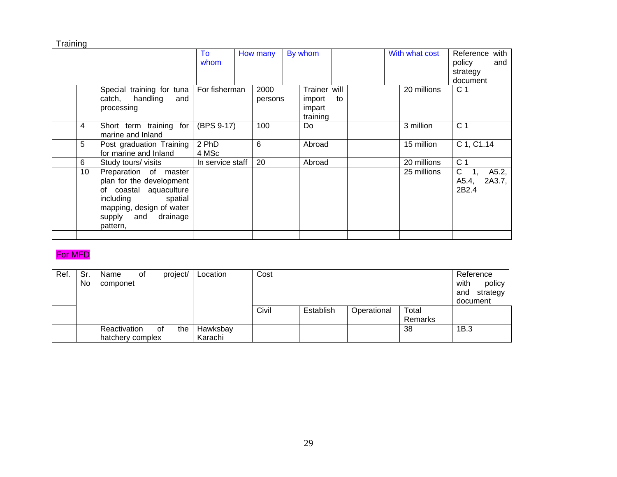**Training** 

| Trainer will<br>Special training for tuna<br>For fisherman<br>2000<br>20 millions<br>handling<br>catch,<br>and<br>import<br>to<br>persons<br>impart<br>processing<br>training<br>(BPS 9-17)<br>4<br>100<br>3 million<br>Short term training<br>for<br>Do<br>marine and Inland<br>2 PhD<br>5<br>6<br>15 million<br>Abroad<br>Post graduation Training<br>for marine and Inland<br>4 MSc | Reference<br>with<br>policy<br>and<br>strategy<br>document    |
|----------------------------------------------------------------------------------------------------------------------------------------------------------------------------------------------------------------------------------------------------------------------------------------------------------------------------------------------------------------------------------------|---------------------------------------------------------------|
|                                                                                                                                                                                                                                                                                                                                                                                        | C <sub>1</sub>                                                |
|                                                                                                                                                                                                                                                                                                                                                                                        | C <sub>1</sub>                                                |
|                                                                                                                                                                                                                                                                                                                                                                                        | C 1, C1.14                                                    |
| 6<br>20 millions<br>20<br>Study tours/ visits<br>In service staff<br>Abroad                                                                                                                                                                                                                                                                                                            | C <sub>1</sub>                                                |
| 10 <sup>°</sup><br>Preparation of master<br>25 millions<br>plan for the development<br>coastal aquaculture<br>of<br>including<br>spatial<br>mapping, design of water<br>supply and drainage<br>pattern,                                                                                                                                                                                | $\mathsf{C}$<br>A5.2,<br>2A3.7,<br>A5.4,<br>2B <sub>2.4</sub> |

## For MFD

| Ref. | Sr.<br>No | Name<br>componet | 0f |    | project/ | Location | Cost  | Reference<br>with<br>policy<br>strategy<br>and<br>document |             |         |      |
|------|-----------|------------------|----|----|----------|----------|-------|------------------------------------------------------------|-------------|---------|------|
|      |           |                  |    |    |          |          | Civil | Establish                                                  | Operational | Total   |      |
|      |           |                  |    |    |          |          |       |                                                            |             | Remarks |      |
|      |           | Reactivation     |    | 0f | the      | Hawksbay |       |                                                            |             | 38      | 1B.3 |
|      |           | hatchery complex |    |    |          | Karachi  |       |                                                            |             |         |      |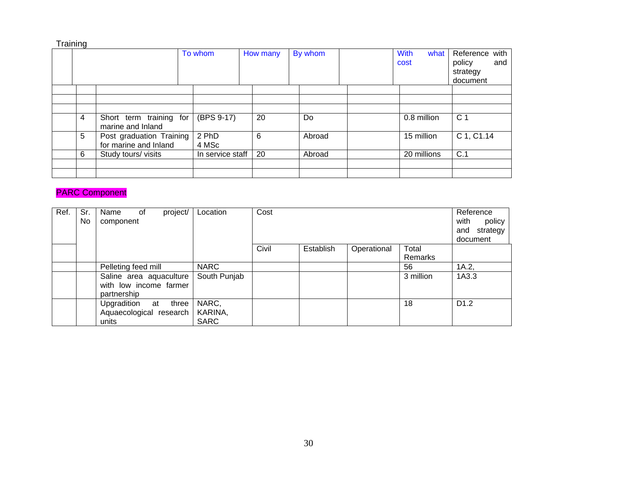| Training |   |                                                   |                  |          |         |                             |                                                         |
|----------|---|---------------------------------------------------|------------------|----------|---------|-----------------------------|---------------------------------------------------------|
|          |   |                                                   | To whom          | How many | By whom | <b>With</b><br>what<br>cost | Reference with<br>policy<br>and<br>strategy<br>document |
|          |   |                                                   |                  |          |         |                             |                                                         |
|          |   |                                                   |                  |          |         |                             |                                                         |
|          |   |                                                   |                  |          |         |                             |                                                         |
|          | 4 | Short term training for<br>marine and Inland      | (BPS 9-17)       | 20       | Do      | 0.8 million                 | C <sub>1</sub>                                          |
|          | 5 | Post graduation Training<br>for marine and Inland | 2 PhD<br>4 MSc   | 6        | Abroad  | 15 million                  | C 1, C1.14                                              |
|          | 6 | Study tours/visits                                | In service staff | 20       | Abroad  | 20 millions                 | C.1                                                     |
|          |   |                                                   |                  |          |         |                             |                                                         |
|          |   |                                                   |                  |          |         |                             |                                                         |

## PARC Component

| Ref. | Sr.<br>No. | project/<br>Name<br>of<br>component                                | Location                        | Cost  | Reference<br>with<br>policy<br>and strategy<br>document |             |                  |                  |
|------|------------|--------------------------------------------------------------------|---------------------------------|-------|---------------------------------------------------------|-------------|------------------|------------------|
|      |            |                                                                    |                                 | Civil | Establish                                               | Operational | Total<br>Remarks |                  |
|      |            | Pelleting feed mill                                                | <b>NARC</b>                     |       |                                                         |             | 56               | 1A.2             |
|      |            | Saline area aquaculture  <br>with low income farmer<br>partnership | South Punjab                    |       |                                                         |             | 3 million        | 1A3.3            |
|      |            | Upgradition at<br>three<br>Aquaecological research<br>units        | NARC,<br>KARINA,<br><b>SARC</b> |       |                                                         |             | 18               | D <sub>1.2</sub> |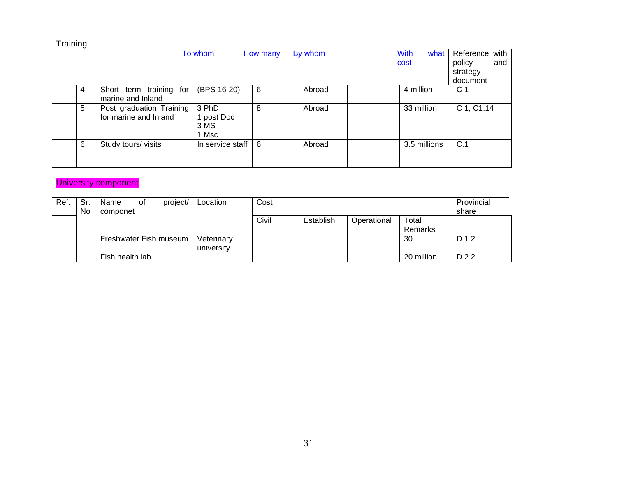| Training |   |                                                   |                  |                                      |          |              |                             |                                                         |
|----------|---|---------------------------------------------------|------------------|--------------------------------------|----------|--------------|-----------------------------|---------------------------------------------------------|
|          |   |                                                   |                  | To whom                              | How many | By whom      | <b>With</b><br>what<br>cost | Reference with<br>policy<br>and<br>strategy<br>document |
|          | 4 | Short term training<br>marine and Inland          | for              | (BPS 16-20)                          | 6        | Abroad       | 4 million                   | C <sub>1</sub>                                          |
|          | 5 | Post graduation Training<br>for marine and Inland |                  | 3 PhD<br>1 post Doc<br>3 MS<br>1 Msc | 8        | Abroad       | 33 million                  | C 1, C1.14                                              |
|          | 6 | Study tours/ visits                               | In service staff | 6                                    | Abroad   | 3.5 millions | C.1                         |                                                         |
|          |   |                                                   |                  |                                      |          |              |                             |                                                         |
|          |   |                                                   |                  |                                      |          |              |                             |                                                         |

## University component

| Ref. | Sr<br>No | Name<br>componet       | 0t | project/ | Location                 | Cost  | Provincial<br>share |             |                  |       |
|------|----------|------------------------|----|----------|--------------------------|-------|---------------------|-------------|------------------|-------|
|      |          |                        |    |          |                          | Civil | Establish           | Operational | Total<br>Remarks |       |
|      |          | Freshwater Fish museum |    |          | Veterinary<br>university |       |                     |             | 30               | D 1.2 |
|      |          | Fish health lab        |    |          |                          |       |                     |             | 20 million       | D 2.2 |